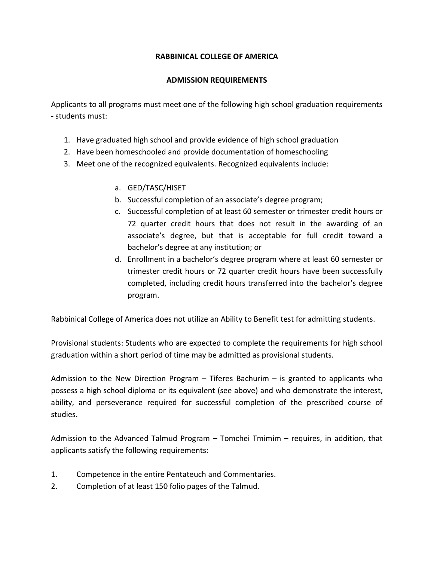## **RABBINICAL COLLEGE OF AMERICA**

## **ADMISSION REQUIREMENTS**

Applicants to all programs must meet one of the following high school graduation requirements - students must:

- 1. Have graduated high school and provide evidence of high school graduation
- 2. Have been homeschooled and provide documentation of homeschooling
- 3. Meet one of the recognized equivalents. Recognized equivalents include:
	- a. GED/TASC/HISET
	- b. Successful completion of an associate's degree program;
	- c. Successful completion of at least 60 semester or trimester credit hours or 72 quarter credit hours that does not result in the awarding of an associate's degree, but that is acceptable for full credit toward a bachelor's degree at any institution; or
	- d. Enrollment in a bachelor's degree program where at least 60 semester or trimester credit hours or 72 quarter credit hours have been successfully completed, including credit hours transferred into the bachelor's degree program.

Rabbinical College of America does not utilize an Ability to Benefit test for admitting students.

Provisional students: Students who are expected to complete the requirements for high school graduation within a short period of time may be admitted as provisional students.

Admission to the New Direction Program – Tiferes Bachurim – is granted to applicants who possess a high school diploma or its equivalent (see above) and who demonstrate the interest, ability, and perseverance required for successful completion of the prescribed course of studies.

Admission to the Advanced Talmud Program – Tomchei Tmimim – requires, in addition, that applicants satisfy the following requirements:

- 1. Competence in the entire Pentateuch and Commentaries.
- 2. Completion of at least 150 folio pages of the Talmud.